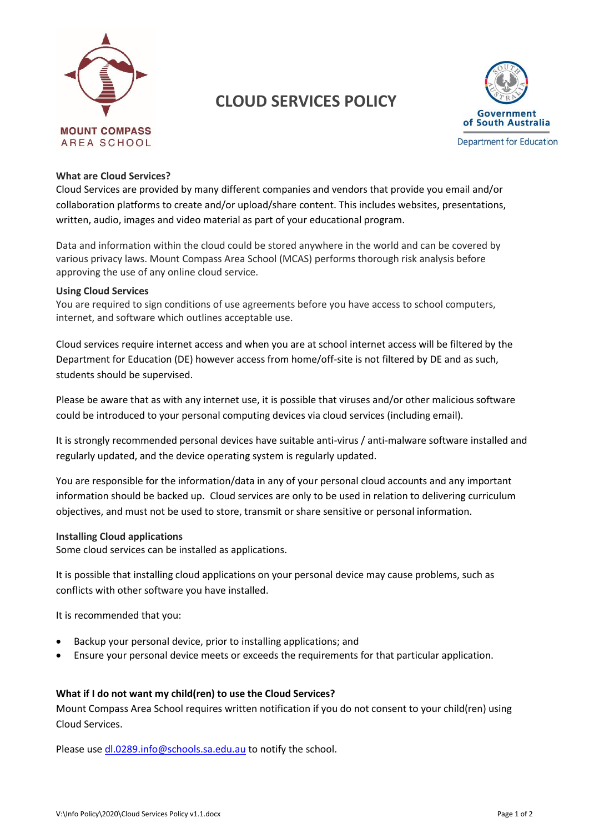

# **CLOUD SERVICES POLICY**



### **What are Cloud Services?**

Cloud Services are provided by many different companies and vendors that provide you email and/or collaboration platforms to create and/or upload/share content. This includes websites, presentations, written, audio, images and video material as part of your educational program.

Data and information within the cloud could be stored anywhere in the world and can be covered by various privacy laws. Mount Compass Area School (MCAS) performs thorough risk analysis before approving the use of any online cloud service.

#### **Using Cloud Services**

You are required to sign conditions of use agreements before you have access to school computers, internet, and software which outlines acceptable use.

Cloud services require internet access and when you are at school internet access will be filtered by the Department for Education (DE) however access from home/off-site is not filtered by DE and as such, students should be supervised.

Please be aware that as with any internet use, it is possible that viruses and/or other malicious software could be introduced to your personal computing devices via cloud services (including email).

It is strongly recommended personal devices have suitable anti-virus / anti-malware software installed and regularly updated, and the device operating system is regularly updated.

You are responsible for the information/data in any of your personal cloud accounts and any important information should be backed up. Cloud services are only to be used in relation to delivering curriculum objectives, and must not be used to store, transmit or share sensitive or personal information.

#### **Installing Cloud applications**

Some cloud services can be installed as applications.

It is possible that installing cloud applications on your personal device may cause problems, such as conflicts with other software you have installed.

It is recommended that you:

- Backup your personal device, prior to installing applications; and
- Ensure your personal device meets or exceeds the requirements for that particular application.

#### **What if I do not want my child(ren) to use the Cloud Services?**

Mount Compass Area School requires written notification if you do not consent to your child(ren) using Cloud Services.

Please use [dl.0289.info@schools.sa.edu.au](mailto:dl.0289.info@schools.sa.edu.au) to notify the school.